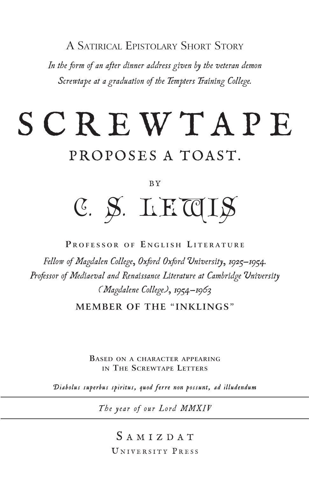A Satirical Epistolary Short Story

*In the form of an after dinner address given by the veteran demon Screwtape at a graduation of the Tempters Training College.*

## SCREWTAPE PROPOSES A TOAST.

B Y C. S. LEWIS

**PROFESSOR OF ENGLISH LITERATURE** 

*Fellow of Magdalen College, Oxford Oxford University, 1925–1954. Professor of Mediaeval and Renaissance Literature at Cambridge University (Magdalene College), 1954–1963*

**Member of the "Inklings"**

**Based on <sup>a</sup> character appearing in The Screwtape Letters**

*Diabolus superbus spiritus, quod ferre non possunt, ad illudendum*

*The year of our Lord MMXIV*

SAMIZDAT UNIVERSITY PRESS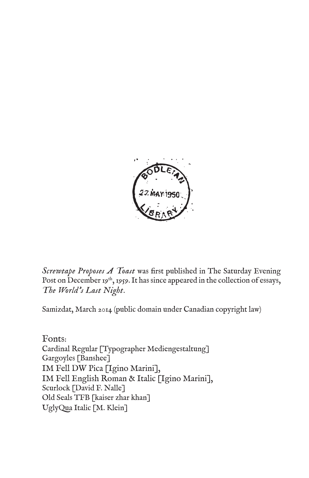

*Screwtape Proposes A Toast* was first published in The Saturday Evening Post on December 19th, 1959. It has since appeared in the collection of essays, *The World's Last Night*.

Samizdat, March 2014 (public domain under [Canadian copyright law\)](http://laws-lois.justice.gc.ca/eng/acts/C-42/page-6.html#h-6)

Fonts: Cardinal Regular [Typographer Mediengestaltung] Gargoyles [Banshee] IM Fell DW Pica [Igino Marini], IM Fell English Roman & Italic [Igino Marini], Scurlock [David F. Nalle] Old Seals TFB [kaiser zhar khan] UglyQua Italic [M. Klein]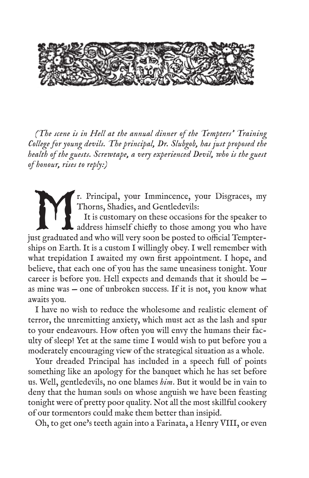

*(The scene is in Hell at the annual dinner of the Tempters' Training College for young devils. The principal, Dr. Slubgob, has just proposed the health of the guests. Screwtape, a very experienced Devil, who is the guest of honour, rises to reply:)* 

r. Principal, your Immincence, your Disgraces, my<br>Thorns, Shadies, and Gentledevils:<br>It is customary on these occasions for the speaker to<br>address himself chiefly to those among you who have<br>st graduated and who will very Thorns, Shadies, and Gentledevils: It is customary on these occasions for the speaker to address himself chiefly to those among you who have just graduated and who will very soon be posted to official Tempterships on Earth. It is a custom I willingly obey. I well remember with what trepidation I awaited my own first appointment. I hope, and believe, that each one of you has the same uneasiness tonight. Your career is before you. Hell expects and demands that it should be as mine was — one of unbroken success. If it is not, you know what awaits you.

I have no wish to reduce the wholesome and realistic element of terror, the unremitting anxiety, which must act as the lash and spur to your endeavours. How often you will envy the humans their faculty of sleep! Yet at the same time I would wish to put before you a moderately encouraging view of the strategical situation as a whole.

Your dreaded Principal has included in a speech full of points something like an apology for the banquet which he has set before us. Well, gentledevils, no one blames *him*. But it would be in vain to deny that the human souls on whose anguish we have been feasting tonight were of pretty poor quality. Not all the most skillful cookery of our tormentors could make them better than insipid.

Oh, to get one's teeth again into a Farinata, a Henry VIII, or even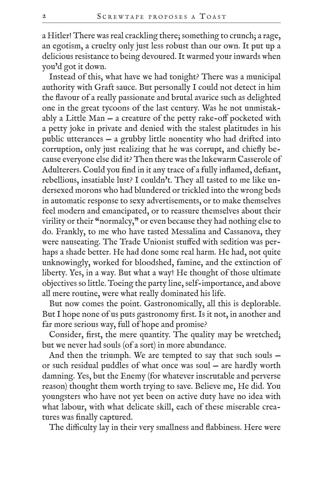a Hitler! There was real crackling there; something to crunch; a rage, an egotism, a cruelty only just less robust than our own. It put up a delicious resistance to being devoured. It warmed your inwards when you'd got it down.

Instead of this, what have we had tonight? There was a municipal authority with Graft sauce. But personally I could not detect in him the flavour of a really passionate and brutal avarice such as delighted one in the great tycoons of the last century. Was he not unmistakably a Little Man — a creature of the petty rake-off pocketed with a petty joke in private and denied with the stalest platitudes in his public utterances — a grubby little nonentity who had drifted into corruption, only just realizing that he was corrupt, and chiefly because everyone else did it? Then there was the lukewarm Casserole of Adulterers. Could you find in it any trace of a fully inflamed, defiant, rebellious, insatiable lust? I couldn't. They all tasted to me like undersexed morons who had blundered or trickled into the wrong beds in automatic response to sexy advertisements, or to make themselves feel modern and emancipated, or to reassure themselves about their virility or their "normalcy," or even because they had nothing else to do. Frankly, to me who have tasted Messalina and Cassanova, they were nauseating. The Trade Unionist stuffed with sedition was perhaps a shade better. He had done some real harm. He had, not quite unknowingly, worked for bloodshed, famine, and the extinction of liberty. Yes, in a way. But what a way! He thought of those ultimate objectives so little. Toeing the party line, self-importance, and above all mere routine, were what really dominated his life.

But now comes the point. Gastronomically, all this is deplorable. But I hope none of us puts gastronomy first. Is it not, in another and far more serious way, full of hope and promise?

Consider, first, the mere quantity. The quality may be wretched; but we never had souls (of a sort) in more abundance.

And then the triumph. We are tempted to say that such souls or such residual puddles of what once was soul — are hardly worth damning. Yes, but the Enemy (for whatever inscrutable and perverse reason) thought them worth trying to save. Believe me, He did. You youngsters who have not yet been on active duty have no idea with what labour, with what delicate skill, each of these miserable creatures was finally captured.

The difficulty lay in their very smallness and flabbiness. Here were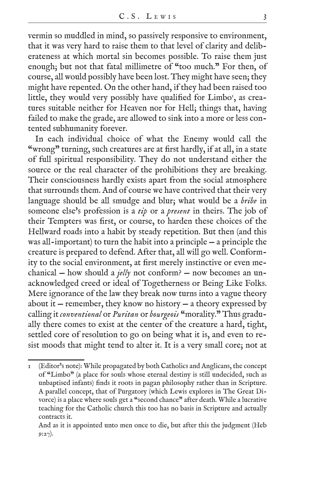vermin so muddled in mind, so passively responsive to environment, that it was very hard to raise them to that level of clarity and deliberateness at which mortal sin becomes possible. To raise them just enough; but not that fatal millimetre of "too much." For then, of course, all would possibly have been lost. They might have seen; they might have repented. On the other hand, if they had been raised too little, they would very possibly have qualified for Limbo<sup>1</sup>, as creatures suitable neither for Heaven nor for Hell; things that, having failed to make the grade, are allowed to sink into a more or less contented subhumanity forever.

In each individual choice of what the Enemy would call the "wrong" turning, such creatures are at first hardly, if at all, in a state of full spiritual responsibility. They do not understand either the source or the real character of the prohibitions they are breaking. Their consciousness hardly exists apart from the social atmosphere that surrounds them. And of course we have contrived that their very language should be all smudge and blur; what would be a *bribe* in someone else's profession is a *tip* or a *present* in theirs. The job of their Tempters was first, or course, to harden these choices of the Hellward roads into a habit by steady repetition. But then (and this was all-important) to turn the habit into a principle — a principle the creature is prepared to defend. After that, all will go well. Conformity to the social environment, at first merely instinctive or even mechanical — how should a *jelly* not conform? — now becomes an unacknowledged creed or ideal of Togetherness or Being Like Folks. Mere ignorance of the law they break now turns into a vague theory about it  $-$  remember, they know no history  $-$  a theory expressed by calling it *conventional* or *Puritan* or *bourgeois* "morality." Thus gradually there comes to exist at the center of the creature a hard, tight, settled core of resolution to go on being what it is, and even to resist moods that might tend to alter it. It is a very small core; not at

<sup>1</sup> (Editor's note): While propagated by both Catholics and Anglicans, the concept of "Limbo" (a place for souls whose eternal destiny is still undecided, such as unbaptised infants) finds it roots in pagan philosophy rather than in Scripture. A parallel concept, that of Purgatory (which Lewis explores in The Great Divorce) is a place where souls get a "second chance" after death. While a lucrative teaching for the Catholic church this too has no basis in Scripture and actually contracts it.

And as it is appointed unto men once to die, but after this the judgment (Heb  $9:27$ ).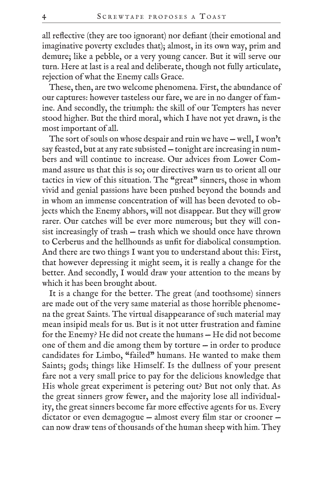all reflective (they are too ignorant) nor defiant (their emotional and imaginative poverty excludes that); almost, in its own way, prim and demure; like a pebble, or a very young cancer. But it will serve our turn. Here at last is a real and deliberate, though not fully articulate, rejection of what the Enemy calls Grace.

These, then, are two welcome phenomena. First, the abundance of our captures: however tasteless our fare, we are in no danger of famine. And secondly, the triumph: the skill of our Tempters has never stood higher. But the third moral, which I have not yet drawn, is the most important of all.

The sort of souls on whose despair and ruin we have — well, I won't say feasted, but at any rate subsisted — tonight are increasing in numbers and will continue to increase. Our advices from Lower Command assure us that this is so; our directives warn us to orient all our tactics in view of this situation. The "great" sinners, those in whom vivid and genial passions have been pushed beyond the bounds and in whom an immense concentration of will has been devoted to objects which the Enemy abhors, will not disappear. But they will grow rarer. Our catches will be ever more numerous; but they will consist increasingly of trash — trash which we should once have thrown to Cerberus and the hellhounds as unfit for diabolical consumption. And there are two things I want you to understand about this: First, that however depressing it might seem, it is really a change for the better. And secondly, I would draw your attention to the means by which it has been brought about.

It is a change for the better. The great (and toothsome) sinners are made out of the very same material as those horrible phenomena the great Saints. The virtual disappearance of such material may mean insipid meals for us. But is it not utter frustration and famine for the Enemy? He did not create the humans — He did not become one of them and die among them by torture — in order to produce candidates for Limbo, "failed" humans. He wanted to make them Saints; gods; things like Himself. Is the dullness of your present fare not a very small price to pay for the delicious knowledge that His whole great experiment is petering out? But not only that. As the great sinners grow fewer, and the majority lose all individuality, the great sinners become far more effective agents for us. Every dictator or even demagogue — almost every film star or crooner can now draw tens of thousands of the human sheep with him. They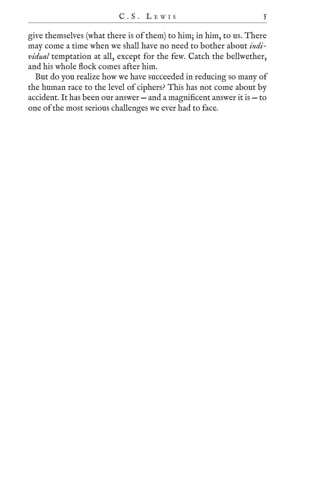give themselves (what there is of them) to him; in him, to us. There may come a time when we shall have no need to bother about *individual* temptation at all, except for the few. Catch the bellwether, and his whole flock comes after him.

But do you realize how we have succeeded in reducing so many of the human race to the level of ciphers? This has not come about by accident. It has been our answer — and a magnificent answer it is — to one of the most serious challenges we ever had to face.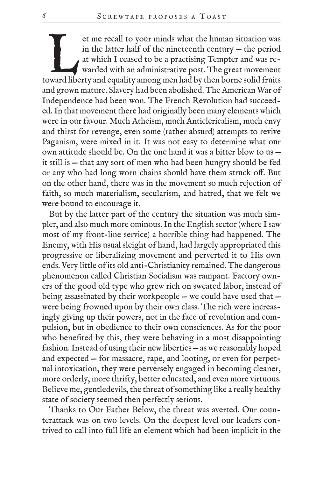et me recall to your minds what the human situation was<br>
in the latter half of the nineteenth century – the period<br>
at which I ceased to be a practising Tempter and was re-<br>
warded with an administrative post. The great mo in the latter half of the nineteenth century — the period at which I ceased to be a practising Tempter and was rewarded with an administrative post. The great movement and grown mature. Slavery had been abolished. The American War of Independence had been won. The French Revolution had succeeded. In that movement there had originally been many elements which were in our favour. Much Atheism, much Anticlericalism, much envy and thirst for revenge, even some (rather absurd) attempts to revive Paganism, were mixed in it. It was not easy to determine what our own attitude should be. On the one hand it was a bitter blow to us it still is — that any sort of men who had been hungry should be fed or any who had long worn chains should have them struck off. But on the other hand, there was in the movement so much rejection of faith, so much materialism, secularism, and hatred, that we felt we were bound to encourage it.

But by the latter part of the century the situation was much simpler, and also much more ominous. In the English sector (where I saw most of my front-line service) a horrible thing had happened. The Enemy, with His usual sleight of hand, had largely appropriated this progressive or liberalizing movement and perverted it to His own ends. Very little of its old anti-Christianity remained. The dangerous phenomenon called Christian Socialism was rampant. Factory owners of the good old type who grew rich on sweated labor, instead of being assassinated by their workpeople — we could have used that were being frowned upon by their own class. The rich were increasingly giving up their powers, not in the face of revolution and compulsion, but in obedience to their own consciences. As for the poor who benefited by this, they were behaving in a most disappointing fashion. Instead of using their new liberties — as we reasonably hoped and expected — for massacre, rape, and looting, or even for perpetual intoxication, they were perversely engaged in becoming cleaner, more orderly, more thrifty, better educated, and even more virtuous. Believe me, gentledevils, the threat of something like a really healthy state of society seemed then perfectly serious.

Thanks to Our Father Below, the threat was averted. Our counterattack was on two levels. On the deepest level our leaders contrived to call into full life an element which had been implicit in the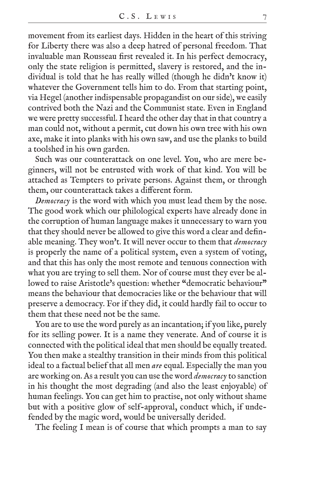movement from its earliest days. Hidden in the heart of this striving for Liberty there was also a deep hatred of personal freedom. That invaluable man Rousseau first revealed it. In his perfect democracy, only the state religion is permitted, slavery is restored, and the individual is told that he has really willed (though he didn't know it) whatever the Government tells him to do. From that starting point, via Hegel (another indispensable propagandist on our side), we easily contrived both the Nazi and the Communist state. Even in England we were pretty successful. I heard the other day that in that country a man could not, without a permit, cut down his own tree with his own axe, make it into planks with his own saw, and use the planks to build a toolshed in his own garden.

Such was our counterattack on one level. You, who are mere beginners, will not be entrusted with work of that kind. You will be attached as Tempters to private persons. Against them, or through them, our counterattack takes a different form.

*Democracy* is the word with which you must lead them by the nose. The good work which our philological experts have already done in the corruption of human language makes it unnecessary to warn you that they should never be allowed to give this word a clear and definable meaning. They won't. It will never occur to them that *democracy* is properly the name of a political system, even a system of voting, and that this has only the most remote and tenuous connection with what you are trying to sell them. Nor of course must they ever be allowed to raise Aristotle's question: whether "democratic behaviour" means the behaviour that democracies like or the behaviour that will preserve a democracy. For if they did, it could hardly fail to occur to them that these need not be the same.

You are to use the word purely as an incantation; if you like, purely for its selling power. It is a name they venerate. And of course it is connected with the political ideal that men should be equally treated. You then make a stealthy transition in their minds from this political ideal to a factual belief that all men *are* equal. Especially the man you are working on. As a result you can use the word *democracy* to sanction in his thought the most degrading (and also the least enjoyable) of human feelings. You can get him to practise, not only without shame but with a positive glow of self-approval, conduct which, if undefended by the magic word, would be universally derided.

The feeling I mean is of course that which prompts a man to say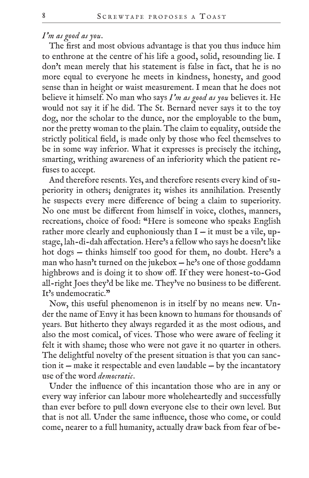*I'm as good as you*.

The first and most obvious advantage is that you thus induce him to enthrone at the centre of his life a good, solid, resounding lie. I don't mean merely that his statement is false in fact, that he is no more equal to everyone he meets in kindness, honesty, and good sense than in height or waist measurement. I mean that he does not believe it himself. No man who says *I'm as good as you* believes it. He would not say it if he did. The St. Bernard never says it to the toy dog, nor the scholar to the dunce, nor the employable to the bum, nor the pretty woman to the plain. The claim to equality, outside the strictly political field, is made only by those who feel themselves to be in some way inferior. What it expresses is precisely the itching, smarting, writhing awareness of an inferiority which the patient refuses to accept.

And therefore resents. Yes, and therefore resents every kind of superiority in others; denigrates it; wishes its annihilation. Presently he suspects every mere difference of being a claim to superiority. No one must be different from himself in voice, clothes, manners, recreations, choice of food: "Here is someone who speaks English rather more clearly and euphoniously than  $I - it$  must be a vile, upstage, lah-di-dah affectation. Here's a fellow who says he doesn't like hot dogs — thinks himself too good for them, no doubt. Here's a man who hasn't turned on the jukebox — he's one of those goddamn highbrows and is doing it to show off. If they were honest-to-God all-right Joes they'd be like me. They've no business to be different. It's undemocratic."

Now, this useful phenomenon is in itself by no means new. Under the name of Envy it has been known to humans for thousands of years. But hitherto they always regarded it as the most odious, and also the most comical, of vices. Those who were aware of feeling it felt it with shame; those who were not gave it no quarter in others. The delightful novelty of the present situation is that you can sanction it — make it respectable and even laudable — by the incantatory use of the word *democratic*.

Under the influence of this incantation those who are in any or every way inferior can labour more wholeheartedly and successfully than ever before to pull down everyone else to their own level. But that is not all. Under the same influence, those who come, or could come, nearer to a full humanity, actually draw back from fear of be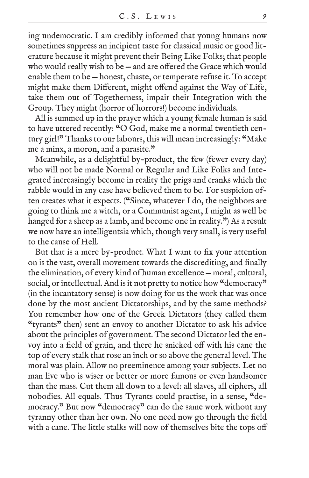ing undemocratic. I am credibly informed that young humans now sometimes suppress an incipient taste for classical music or good literature because it might prevent their Being Like Folks; that people who would really wish to be — and are offered the Grace which would enable them to be — honest, chaste, or temperate refuse it. To accept might make them Different, might offend against the Way of Life, take them out of Togetherness, impair their Integration with the Group. They might (horror of horrors!) become individuals.

All is summed up in the prayer which a young female human is said to have uttered recently: "O God, make me a normal twentieth century girl!" Thanks to our labours, this will mean increasingly: "Make me a minx, a moron, and a parasite."

Meanwhile, as a delightful by-product, the few (fewer every day) who will not be made Normal or Regular and Like Folks and Integrated increasingly become in reality the prigs and cranks which the rabble would in any case have believed them to be. For suspicion often creates what it expects. ("Since, whatever I do, the neighbors are going to think me a witch, or a Communist agent, I might as well be hanged for a sheep as a lamb, and become one in reality.") As a result we now have an intelligentsia which, though very small, is very useful to the cause of Hell.

But that is a mere by-product. What I want to fix your attention on is the vast, overall movement towards the discrediting, and finally the elimination, of every kind of human excellence — moral, cultural, social, or intellectual. And is it not pretty to notice how "democracy" (in the incantatory sense) is now doing for us the work that was once done by the most ancient Dictatorships, and by the same methods? You remember how one of the Greek Dictators (they called them "tyrants" then) sent an envoy to another Dictator to ask his advice about the principles of government. The second Dictator led the envoy into a field of grain, and there he snicked off with his cane the top of every stalk that rose an inch or so above the general level. The moral was plain. Allow no preeminence among your subjects. Let no man live who is wiser or better or more famous or even handsomer than the mass. Cut them all down to a level: all slaves, all ciphers, all nobodies. All equals. Thus Tyrants could practise, in a sense, "democracy." But now "democracy" can do the same work without any tyranny other than her own. No one need now go through the field with a cane. The little stalks will now of themselves bite the tops off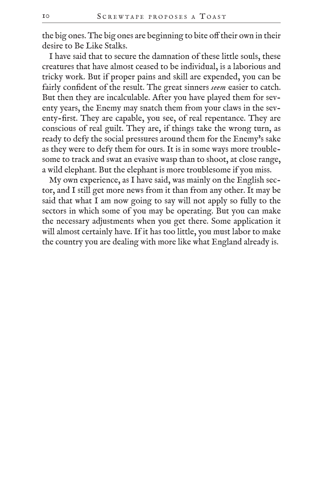the big ones. The big ones are beginning to bite off their own in their desire to Be Like Stalks.

I have said that to secure the damnation of these little souls, these creatures that have almost ceased to be individual, is a laborious and tricky work. But if proper pains and skill are expended, you can be fairly confident of the result. The great sinners *seem* easier to catch. But then they are incalculable. After you have played them for seventy years, the Enemy may snatch them from your claws in the seventy-first. They are capable, you see, of real repentance. They are conscious of real guilt. They are, if things take the wrong turn, as ready to defy the social pressures around them for the Enemy's sake as they were to defy them for ours. It is in some ways more troublesome to track and swat an evasive wasp than to shoot, at close range, a wild elephant. But the elephant is more troublesome if you miss.

My own experience, as I have said, was mainly on the English sector, and I still get more news from it than from any other. It may be said that what I am now going to say will not apply so fully to the sectors in which some of you may be operating. But you can make the necessary adjustments when you get there. Some application it will almost certainly have. If it has too little, you must labor to make the country you are dealing with more like what England already is.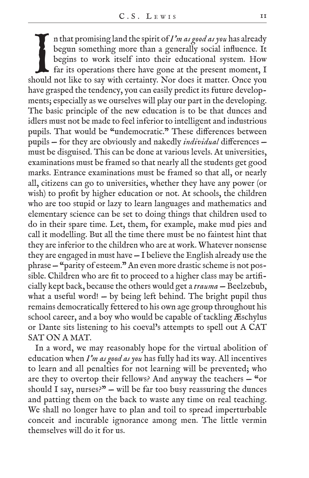If that promising land the spirit of  $I'm$  as good as you has already begun something more than a generally social influence. It begins to work itself into their educational system. How far its operations there have gone a n that promising land the spirit of *I'm as good as you* has already begun something more than a generally social influence. It begins to work itself into their educational system. How far its operations there have gone at the present moment, I have grasped the tendency, you can easily predict its future developments; especially as we ourselves will play our part in the developing. The basic principle of the new education is to be that dunces and idlers must not be made to feel inferior to intelligent and industrious pupils. That would be "undemocratic." These differences between pupils — for they are obviously and nakedly *individual* differences must be disguised. This can be done at various levels. At universities, examinations must be framed so that nearly all the students get good marks. Entrance examinations must be framed so that all, or nearly all, citizens can go to universities, whether they have any power (or wish) to profit by higher education or not. At schools, the children who are too stupid or lazy to learn languages and mathematics and elementary science can be set to doing things that children used to do in their spare time. Let, them, for example, make mud pies and call it modelling. But all the time there must be no faintest hint that they are inferior to the children who are at work. Whatever nonsense they are engaged in must have — I believe the English already use the phrase — "parity of esteem." An even more drastic scheme is not possible. Children who are fit to proceed to a higher class may be artificially kept back, because the others would get a *trauma* — Beelzebub, what a useful word! — by being left behind. The bright pupil thus remains democratically fettered to his own age group throughout his school career, and a boy who would be capable of tackling Æschylus or Dante sits listening to his coeval's attempts to spell out A CAT SAT ON A MAT.

In a word, we may reasonably hope for the virtual abolition of education when *I'm as good as you* has fully had its way. All incentives to learn and all penalties for not learning will be prevented; who are they to overtop their fellows? And anyway the teachers — "or should I say, nurses?"  $-$  will be far too busy reassuring the dunces and patting them on the back to waste any time on real teaching. We shall no longer have to plan and toil to spread imperturbable conceit and incurable ignorance among men. The little vermin themselves will do it for us.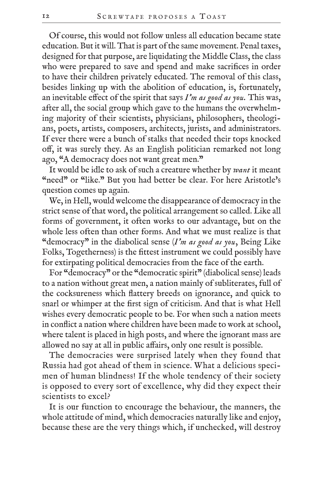Of course, this would not follow unless all education became state education. But it will. That is part of the same movement. Penal taxes, designed for that purpose, are liquidating the Middle Class, the class who were prepared to save and spend and make sacrifices in order to have their children privately educated. The removal of this class, besides linking up with the abolition of education, is, fortunately, an inevitable effect of the spirit that says *I'm as good as you.* This was, after all, the social group which gave to the humans the overwhelming majority of their scientists, physicians, philosophers, theologians, poets, artists, composers, architects, jurists, and administrators. If ever there were a bunch of stalks that needed their tops knocked off, it was surely they. As an English politician remarked not long ago, "A democracy does not want great men."

It would be idle to ask of such a creature whether by *want* it meant "need" or "like." But you had better be clear. For here Aristotle's question comes up again.

We, in Hell, would welcome the disappearance of democracy in the strict sense of that word, the political arrangement so called. Like all forms of government, it often works to our advantage, but on the whole less often than other forms. And what we must realize is that "democracy" in the diabolical sense (*I'm as good as you*, Being Like Folks, Togetherness) is the fittest instrument we could possibly have for extirpating political democracies from the face of the earth.

For "democracy" or the "democratic spirit" (diabolical sense) leads to a nation without great men, a nation mainly of subliterates, full of the cocksureness which flattery breeds on ignorance, and quick to snarl or whimper at the first sign of criticism. And that is what Hell wishes every democratic people to be. For when such a nation meets in conflict a nation where children have been made to work at school, where talent is placed in high posts, and where the ignorant mass are allowed no say at all in public affairs, only one result is possible.

The democracies were surprised lately when they found that Russia had got ahead of them in science. What a delicious specimen of human blindness! If the whole tendency of their society is opposed to every sort of excellence, why did they expect their scientists to excel?

It is our function to encourage the behaviour, the manners, the whole attitude of mind, which democracies naturally like and enjoy, because these are the very things which, if unchecked, will destroy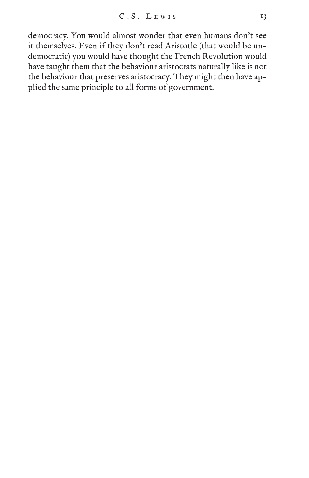democracy. You would almost wonder that even humans don't see it themselves. Even if they don't read Aristotle (that would be undemocratic) you would have thought the French Revolution would have taught them that the behaviour aristocrats naturally like is not the behaviour that preserves aristocracy. They might then have applied the same principle to all forms of government.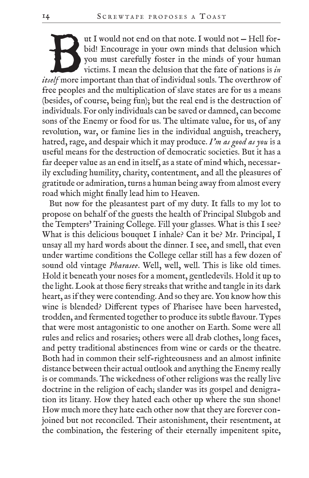ut I would not end on that note. I would not — Hell for-<br>bid! Encourage in your own minds that delusion which<br>you must carefully foster in the minds of your human<br>victims. I mean the delusion that the fate of nations is in bid! Encourage in your own minds that delusion which you must carefully foster in the minds of your human victims. I mean the delusion that the fate of nations is *in*  free peoples and the multiplication of slave states are for us a means (besides, of course, being fun); but the real end is the destruction of individuals. For only individuals can be saved or damned, can become sons of the Enemy or food for us. The ultimate value, for us, of any revolution, war, or famine lies in the individual anguish, treachery, hatred, rage, and despair which it may produce. *I'm as good as you* is a useful means for the destruction of democratic societies. But it has a far deeper value as an end in itself, as a state of mind which, necessarily excluding humility, charity, contentment, and all the pleasures of gratitude or admiration, turns a human being away from almost every road which might finally lead him to Heaven.

But now for the pleasantest part of my duty. It falls to my lot to propose on behalf of the guests the health of Principal Slubgob and the Tempters' Training College. Fill your glasses. What is this I see? What is this delicious bouquet I inhale? Can it be? Mr. Principal, I unsay all my hard words about the dinner. I see, and smell, that even under wartime conditions the College cellar still has a few dozen of sound old vintage *Pharasee*. Well, well, well. This is like old times. Hold it beneath your noses for a moment, gentledevils. Hold it up to the light. Look at those fiery streaks that writhe and tangle in its dark heart, as if they were contending. And so they are. You know how this wine is blended? Different types of Pharisee have been harvested, trodden, and fermented together to produce its subtle flavour. Types that were most antagonistic to one another on Earth. Some were all rules and relics and rosaries; others were all drab clothes, long faces, and petty traditional abstinences from wine or cards or the theatre. Both had in common their self-righteousness and an almost infinite distance between their actual outlook and anything the Enemy really is or commands. The wickedness of other religions was the really live doctrine in the religion of each; slander was its gospel and denigration its litany. How they hated each other up where the sun shone! How much more they hate each other now that they are forever conjoined but not reconciled. Their astonishment, their resentment, at the combination, the festering of their eternally impenitent spite,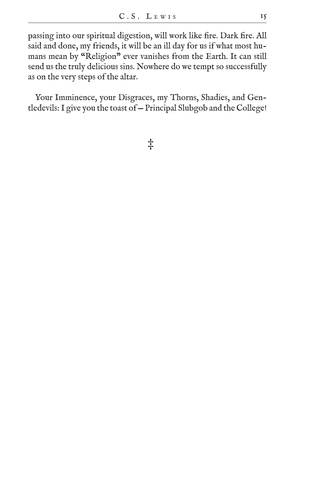passing into our spiritual digestion, will work like fire. Dark fire. All said and done, my friends, it will be an ill day for us if what most humans mean by "Religion" ever vanishes from the Earth. It can still send us the truly delicious sins. Nowhere do we tempt so successfully as on the very steps of the altar.

Your Imminence, your Disgraces, my Thorns, Shadies, and Gentledevils: I give you the toast of — Principal Slubgob and the College!